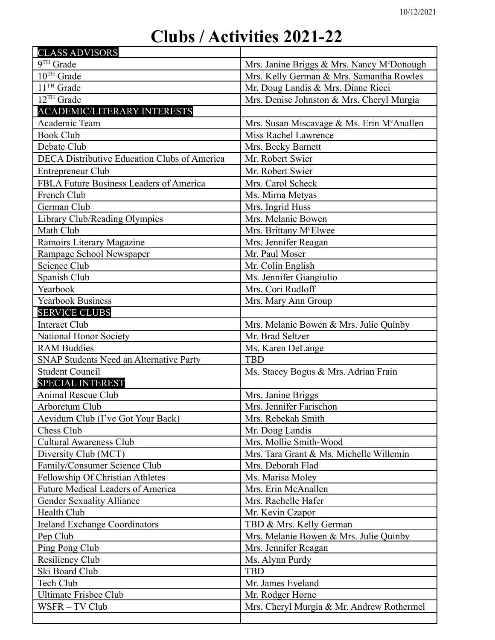## **Clubs / Activities 2021-22**

| <b>CLASS ADVISORS</b>                          |                                                        |
|------------------------------------------------|--------------------------------------------------------|
| 9TH Grade                                      | Mrs. Janine Briggs & Mrs. Nancy M <sup>c</sup> Donough |
| $10^{\mathrm{TH}}$ Grade                       | Mrs. Kelly German & Mrs. Samantha Rowles               |
| 11 <sup>TH</sup> Grade                         | Mr. Doug Landis & Mrs. Diane Ricci                     |
| 12TH Grade                                     | Mrs. Denise Johnston & Mrs. Cheryl Murgia              |
| <b>ACADEMIC/LITERARY INTERESTS</b>             |                                                        |
| Academic Team                                  | Mrs. Susan Miscavage & Ms. Erin McAnallen              |
| <b>Book Club</b>                               | Miss Rachel Lawrence                                   |
| Debate Club                                    | Mrs. Becky Barnett                                     |
| DECA Distributive Education Clubs of America   | Mr. Robert Swier                                       |
| Entrepreneur Club                              | Mr. Robert Swier                                       |
| FBLA Future Business Leaders of America        | Mrs. Carol Scheck                                      |
| French Club                                    | Ms. Mirna Metyas                                       |
| German Club                                    | Mrs. Ingrid Huss                                       |
| Library Club/Reading Olympics                  | Mrs. Melanie Bowen                                     |
| Math Club                                      | Mrs. Brittany M <sup>c</sup> Elwee                     |
| Ramoirs Literary Magazine                      | Mrs. Jennifer Reagan                                   |
| Rampage School Newspaper                       | Mr. Paul Moser                                         |
| Science Club                                   | Mr. Colin English                                      |
| Spanish Club                                   | Ms. Jennifer Giangiulio                                |
| Yearbook                                       | Mrs. Cori Rudloff                                      |
| Yearbook Business                              | Mrs. Mary Ann Group                                    |
| <b>SERVICE CLUBS</b>                           |                                                        |
| <b>Interact Club</b>                           | Mrs. Melanie Bowen & Mrs. Julie Quinby                 |
| National Honor Society                         | Mr. Brad Seltzer                                       |
| <b>RAM Buddies</b>                             | Ms. Karen DeLange                                      |
| <b>SNAP Students Need an Alternative Party</b> | <b>TBD</b>                                             |
| <b>Student Council</b>                         | Ms. Stacey Bogus & Mrs. Adrian Frain                   |
| <b>SPECIAL INTEREST</b>                        |                                                        |
| <b>Animal Rescue Club</b>                      | Mrs. Janine Briggs                                     |
| Arboretum Club                                 | Mrs. Jennifer Farischon                                |
| Aevidum Club (I've Got Your Back)              | Mrs. Rebekah Smith                                     |
| Chess Club                                     | Mr. Doug Landis                                        |
| <b>Cultural Awareness Club</b>                 | Mrs. Mollie Smith-Wood                                 |
| Diversity Club (MCT)                           | Mrs. Tara Grant & Ms. Michelle Willemin                |
| Family/Consumer Science Club                   | Mrs. Deborah Flad                                      |
| Fellowship Of Christian Athletes               | Ms. Marisa Moley                                       |
| <b>Future Medical Leaders of America</b>       | Mrs. Erin McAnallen                                    |
| <b>Gender Sexuality Alliance</b>               | Mrs. Rachelle Hafer                                    |
| Health Club                                    | Mr. Kevin Czapor                                       |
| <b>Ireland Exchange Coordinators</b>           | TBD & Mrs. Kelly German                                |
| Pep Club                                       | Mrs. Melanie Bowen & Mrs. Julie Quinby                 |
| Ping Pong Club                                 | Mrs. Jennifer Reagan                                   |
| <b>Resiliency Club</b>                         | Ms. Alynn Purdy                                        |
| Ski Board Club                                 | <b>TBD</b>                                             |
| Tech Club                                      | Mr. James Eveland                                      |
| <b>Ultimate Frisbee Club</b>                   | Mr. Rodger Horne                                       |
| WSFR – TV Club                                 | Mrs. Cheryl Murgia & Mr. Andrew Rothermel              |
|                                                |                                                        |